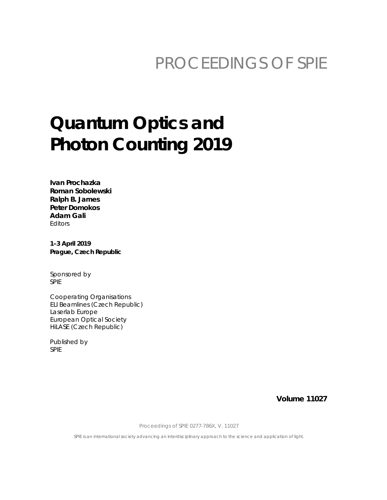## PROCEEDINGS OF SPIE

# **Quantum Optics and Photon Counting 2019**

Ivan Prochazka Roman Sobolewski Ralph B. James **Peter Domokos Adam Gali Fditors** 

1-3 April 2019 Prague, Czech Republic

Sponsored by **SPIE** 

Cooperating Organisations ELI Beamlines (Czech Republic) Laserlab Europe **European Optical Society** HiLASE (Czech Republic)

Published by **SPIE** 

**Volume 11027** 

Proceedings of SPIE 0277-786X, V. 11027

SPIE is an international society advancing an interdisciplinary approach to the science and application of light.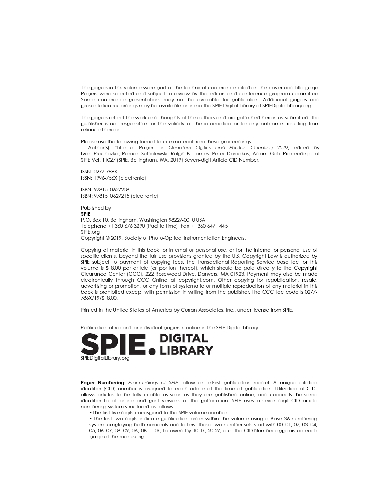The papers in this volume were part of the technical conference cited on the cover and title page. Papers were selected and subject to review by the editors and conference program committee. Some conference presentations may not be available for publication. Additional papers and presentation recordings may be available online in the SPIE Digital Library at SPIEDigital Library org.

The papers reflect the work and thoughts of the authors and are published herein as submitted. The publisher is not responsible for the validity of the information or for any outcomes resulting from reliance thereon.

Please use the following format to cite material from these proceedings:

Author(s), "Title of Paper," in Quantum Optics and Photon Counting 2019, edited by Ivan Prochazka, Roman Sobolewski, Ralph B. James, Peter Domokos, Adam Gali, Proceedings of SPIE Vol. 11027 (SPIE, Bellingham, WA, 2019) Seven-digit Article CID Number.

ISSN: 0277-786X ISSN: 1996-756X (electronic)

ISBN: 9781510627208 ISBN: 9781510627215 (electronic)

Published by **SPIF** P.O. Box 10, Bellingham, Washington 98227-0010 USA Telephone +1 360 676 3290 (Pacific Time) · Fax +1 360 647 1445 SPIE.org Copyright © 2019, Society of Photo-Optical Instrumentation Engineers.

Copying of material in this book for internal or personal use, or for the internal or personal use of specific clients, beyond the fair use provisions granted by the U.S. Copyright Law is authorized by SPIE subject to payment of copying fees. The Transactional Reporting Service base fee for this volume is \$18.00 per article (or portion thereof), which should be paid directly to the Copyright Clearance Center (CCC), 222 Rosewood Drive, Danvers, MA 01923. Payment may also be made electronically through CCC Online at copyright.com. Other copying for republication, resale, advertising or promotion, or any form of systematic or multiple reproduction of any material in this book is prohibited except with permission in writing from the publisher. The CCC fee code is 0277-786X/19/\$18.00.

Printed in the United States of America by Curran Associates, Inc., under license from SPIE.

Publication of record for individual papers is online in the SPIE Digital Library.



Paper Numbering: Proceedings of SPIE follow an e-First publication model. A unique citation identifier (CID) number is assigned to each article at the time of publication. Utilization of CIDs allows articles to be fully citable as soon as they are published online, and connects the same identifier to all online and print versions of the publication. SPIE uses a seven-digit CID article numbering system structured as follows:

. The first five digits correspond to the SPIE volume number.

• The last two digits indicate publication order within the volume using a Base 36 numbering system employing both numerals and letters. These two-number sets start with 00, 01, 02, 03, 04, 05, 06, 07, 08, 09, 0A, 0B ... 0Z, followed by 10-1Z, 20-2Z, etc. The CID Number appears on each page of the manuscript.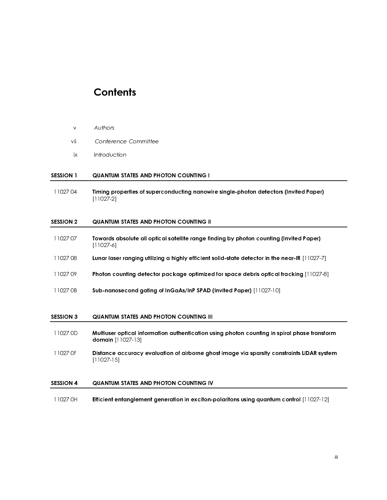### **Contents**

- 
- 
- 

#### j SESSION 1 QUANTUM STATES AND PHOTON COUNTING I

 11027 04 Timing properties of superconducting nanowire single-photon detectors (Invited Paper) [11027-2]

#### j SESSION 2 QUANTUM STATES AND PHOTON COUNTING II

- vii Confere<br>
ix Introduc<br>
SESSION 1 QUANTUI<br>
11027 04 Timing p<br>
11027 02 QUANTUI<br>
11027 07 Towards<br>
11027 07 Towards<br>
11027 08 Lunar las<br>
11027 08 Photon c ix Introduction<br>
SESSION 1 QUANTUM STATES AND PH<br>
11027 04 Timing properties of super<br>
11027 04 QUANTUM STATES OF SESSION 2 QUANTUM STATES AND PH<br>
11027 07 Towards absolute all optic<br>
11027 08 Lunar laser ranging utilizin<br>  $\frac{1}{2}$ SESSION 1 QUANTUM STAND 11027 04 Timing proper<br>
11027 04 Timing proper<br>
11027 07 QUANTUM STAND 11027 07 Towards absoc<br>
11027 08 Lunar laser ra<br>
11027 08 Photon count<br>
11027 08 Sub-nanosec 11027 07 Towards absolute all optical satellite range finding by photon counting (Invited Paper) [11027-6]
- 11027 08 Lunar laser ranging utilizing a highly efficient solid-state detector in the near-IR [11027-7]
- 11027 09 Photon counting detector package optimized for space debris optical tracking [11027-8]
- 11027 0B Sub-nanosecond gating of InGaAs/InP SPAD (Invited Paper) [11027-10]

#### j SESSION 3 QUANTUM STATES AND PHOTON COUNTING III

- 11027 0D Multiuser optical information authentication using photon counting in spiral phase transform domain [11027-13]
- 11027 0F Distance accuracy evaluation of airborne ghost image via sparsity constraints LiDAR system [11027-15]

#### j SESSION 4 QUANTUM STATES AND PHOTON COUNTING IV

11027 0H Efficient entanglement generation in exciton-polaritons using quantum control [11027-12]